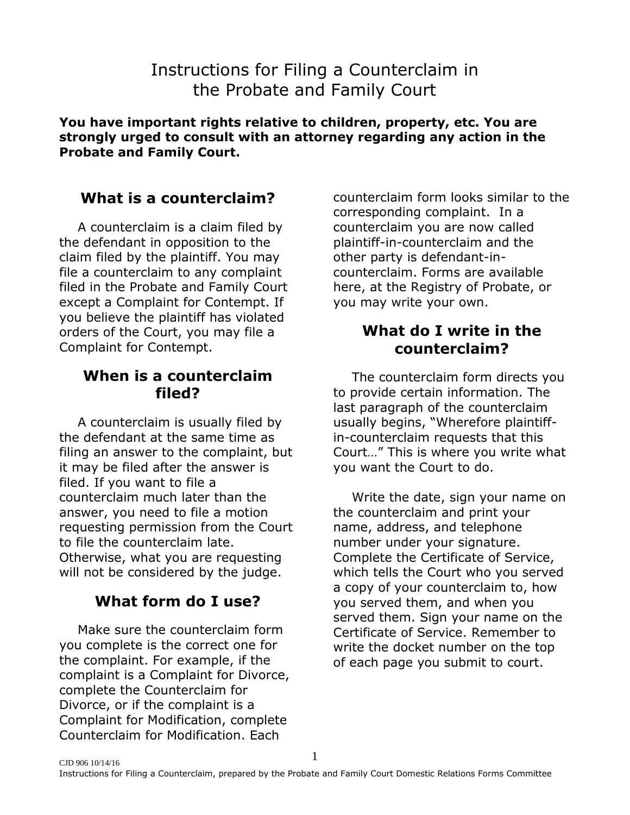# Instructions for Filing a Counterclaim in the Probate and Family Court

**You have important rights relative to children, property, etc. You are strongly urged to consult with an attorney regarding any action in the Probate and Family Court.**

## **What is a counterclaim?**

A counterclaim is a claim filed by the defendant in opposition to the claim filed by the plaintiff. You may file a counterclaim to any complaint filed in the Probate and Family Court except a Complaint for Contempt. If you believe the plaintiff has violated orders of the Court, you may file a Complaint for Contempt.

#### **When is a counterclaim filed?**

A counterclaim is usually filed by the defendant at the same time as filing an answer to the complaint, but it may be filed after the answer is filed. If you want to file a counterclaim much later than the answer, you need to file a motion requesting permission from the Court to file the counterclaim late. Otherwise, what you are requesting will not be considered by the judge.

# **What form do I use?**

Make sure the counterclaim form you complete is the correct one for the complaint. For example, if the complaint is a Complaint for Divorce, complete the Counterclaim for Divorce, or if the complaint is a Complaint for Modification, complete Counterclaim for Modification. Each

counterclaim form looks similar to the corresponding complaint. In a counterclaim you are now called plaintiff-in-counterclaim and the other party is defendant-incounterclaim. Forms are available here, at the Registry of Probate, or you may write your own.

#### **What do I write in the counterclaim?**

The counterclaim form directs you to provide certain information. The last paragraph of the counterclaim usually begins, "Wherefore plaintiffin-counterclaim requests that this Court…" This is where you write what you want the Court to do.

Write the date, sign your name on the counterclaim and print your name, address, and telephone number under your signature. Complete the Certificate of Service, which tells the Court who you served a copy of your counterclaim to, how you served them, and when you served them. Sign your name on the Certificate of Service. Remember to write the docket number on the top of each page you submit to court.